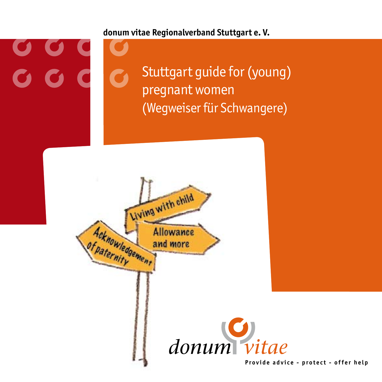**donum vitae Regionalverband Stuttgart e. V.**

0 0 1<br>0 0 1

Stuttgart guide for (young) pregnant women (Wegweiser für Schwangere)

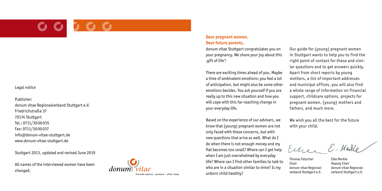#### Legal notice

Publisher: donum vitae Regionalverband Stuttgart e.V. Friedrichstraße 37 70174 Stuttgart Tel.: 0711/30 00035 Fax: 0711/30 00037 info@donum-vitae-stuttgart.de www.donum-vitae-stuttgart.de

Stuttgart 2013, updated and revised June 2019

All names of the interviewed women have been changed.



#### **Dear pregnant women, Dear future parents,**

donum vitae Stuttgart congratulates you on your pregnancy. We share your joy about this 'gift of life'!

There are exciting times ahead of you. Maybe a time of ambivalent emotions: you feel a lot of anticipation, but might also be some other emotions besides. You ask yourself if you are really up to this new situation and how you will cope with this far-reaching change in your everyday life.

Based on the experience of our advisers, we know that (young) pregnant women are not only faced with these concerns, but with new questions that arise as well. What do I do when there is not enough money and my flat becomes too small? Where can I get help when I am just overwhelmed by everyday life? Where can I find other families to talk to who are in a situation similar to mine? Is my unborn child healthy?

Our guide for (young) pregnant women in Stuttgart wants to help you to find the right point of contact for these and simi lar questions and to get answers quickly. Apart from short reports by young mothers, a list of important addresses and municipal offices, you will also find a whole range of information on financial support, childcare options, projects for pregnant women, (young) mothers and fathers, and much more.

We wish you all the best for the future with your child.

Eiter E. Medd

Thomas Fetscher Chair donum vitae Regional verband Stuttgart e.V.

Elke Merkle Deputy Chair donum vitae Regional verband Stuttgart e.V.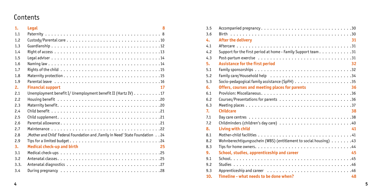## Contents

| 1.             | <b>Legal</b><br>8                                                                             |
|----------------|-----------------------------------------------------------------------------------------------|
| 1.1            |                                                                                               |
| 1.2            |                                                                                               |
| 1.3            |                                                                                               |
| 1.4            |                                                                                               |
| 1.5            |                                                                                               |
| 1.6            |                                                                                               |
| 1.7            |                                                                                               |
| 1.8            |                                                                                               |
| 1.9            | Parental leave $\ldots \ldots \ldots \ldots \ldots \ldots \ldots \ldots \ldots \ldots \ldots$ |
| 2.             | <b>Financial support</b><br>17                                                                |
| 2.1            | Unemployment benefit I/ Unemployment benefit II (Hartz IV) 17                                 |
| 2.2            |                                                                                               |
| 2.3            |                                                                                               |
| 2.4            |                                                                                               |
| 2.5            |                                                                                               |
| 2.6            |                                                                                               |
| 2.7            |                                                                                               |
| 2.8            | Aother and Child' Federal Foundation and , Family in Need' State Foundation 24                |
| 2.9            |                                                                                               |
| 3 <sub>1</sub> | <b>Medical check-up and birth</b><br>25                                                       |
| 3.1            |                                                                                               |
| 3.2            |                                                                                               |
| 3.3.           |                                                                                               |
| 3.4            |                                                                                               |

| 3.5 | Accompanied pregnancy30                                                                     |
|-----|---------------------------------------------------------------------------------------------|
| 3.6 |                                                                                             |
| 4.  | After the delivery<br>31                                                                    |
| 4.1 |                                                                                             |
| 4.2 | Support for the first period at home - Family Support team. $\ldots \ldots \ldots$          |
| 4.3 |                                                                                             |
| 5.  | <b>Assistance for the first period</b><br>32                                                |
| 5.1 | Family sponsorships $\ldots \ldots \ldots \ldots \ldots \ldots \ldots \ldots \ldots \ldots$ |
| 5.2 |                                                                                             |
| 5.3 |                                                                                             |
| 6.  | 36<br>Offers, courses and meeting places for parents                                        |
| 6.1 |                                                                                             |
| 6.2 |                                                                                             |
| 6.3 |                                                                                             |
| 7.  | <b>Childcare</b><br>38                                                                      |
| 7.1 |                                                                                             |
| 7.2 |                                                                                             |
| 8.  | Living with child<br>41                                                                     |
| 8.1 |                                                                                             |
| 8.2 | Wohnberechtiqungsschein (WBS) (entitlement to social housing) $\dots \dots$ . 43            |
| 8.3 |                                                                                             |
| 9.  | School, studies, apprenticeship and career<br>45                                            |
| 9.1 |                                                                                             |
| 9.2 |                                                                                             |
| 9.3 |                                                                                             |
| 10. | Timeline - what needs to be done when?<br>48                                                |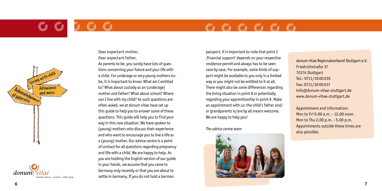# **BOC**

## $G G G G G G G$





Dear expectant mother, Dear expectant father,

As parents to be, you surely have lots of ques tions concerning your future and your life with a child. For underage or very young mothers-tobe, it is important to know: What am I entitled to? What about custody as an (underage) mother and father? What about school? Where can I live with my child? As such questions are often asked, we at donum vitae have set up this guide to help you to answer some of these questions. This guide will help you to find your way in this new situation. We have spoken to (young) mothers who discuss their experience and who want to encourage you to live a life as a (young) mother. Our advice centre is a point of contact for all questions regarding pregnancy and life with a child. We are happy to help. As you are holding the English version of our guide in your hands, we assume that you came to Germany only recently or that you are about to **Provide advice - protect - offer help** settle in Germany. If you do not hold a German

passport, it is important to note that point 2 'financial support' depends on your respective residence permit and always has to be seen case by case. For example, some kinds of sup port might be available to you only in a limited way or you might not be entitled to it at all. There might also be some differences regarding the living situation in point 8 or potentially regarding your apprenticeship in point 9. Make an appointment with us; the child's father and/ or grandparents is/are by all means welcome. We are happy to help you!

*The advice centre team*



donum vitae Regionalverband Stuttgart e.V. Friedrichstraße 37 70174 Stuttgart Tel.: 0711/30 00035 Fax: 0711/3000037 info@donum-vitae-stuttgart.de www.donum-vitae-stuttgart.de

Appointment and information: Mon to Fri 9.00 a.m. - 12.00 noon Mon to Thu 2.00 p.m. - 5.00 p.m. Appointments outside these times are also possible.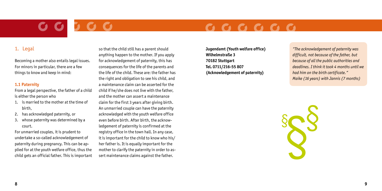## $G G G G G G G$

### 1. Legal

Becoming a mother also entails legal issues. For minors in particular, there are a few things to know and keep in mind:

#### **1.1 Paternity**

From a legal perspective, the father of a child is either the person who

- 1. is married to the mother at the time of birth,
- 2. has acknowledged paternity, or
- 3. whose paternity was determined by a court.

For unmarried couples, it is prudent to undertake a so-called acknowledgement of paternity during pregnancy. This can be applied for at the youth welfare office, thus the child gets an official father. This is important so that the child still has a parent should anything happen to the mother. If you apply for acknowledgement of paternity, this has consequences for the life of the parents and the life of the child. These are: the father has the right and obligation to see his child, and a maintenance claim can be asserted for the child if he/she does not live with the father, and the mother can assert a maintenance claim for the first 3 years after giving birth. An unmarried couple can have the paternity acknowledged with the youth welfare office even before birth. After birth, the acknowledgement of paternity is confirmed at the registry office in the town hall. In any case, it is important for the child to know who his/ her father is. It is equally important for the mother to clarify the paternity in order to assert maintenance claims against the father.

**Jugendamt (Youth welfare office) Wilhelmstraße 3 70182 Stuttgart Tel. 0711/216-55 807 (Acknowledgement of paternity)**

*"The acknowledgement of paternity was difficult, not because of the father, but because of all the public authorities and deadlines. I think it took 4 months until we had him on the birth certificate." Maike (16 years) with Jannis (7 months)*

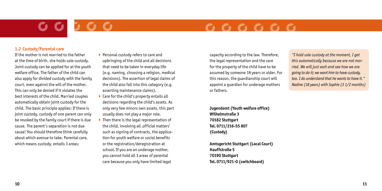## $\begin{array}{cccccccccccccc} \mathbf{C} & \mathbf{C} & \mathbf{C} & \mathbf{C} & \mathbf{C} & \mathbf{C} & \mathbf{C} & \mathbf{C} & \mathbf{A} & \mathbf{A} & \mathbf{A} & \mathbf{A} & \mathbf{A} & \mathbf{A} & \mathbf{A} & \mathbf{A} & \mathbf{A} & \mathbf{A} & \mathbf{A} & \mathbf{A} & \mathbf{A} & \mathbf{A} & \mathbf{A} & \mathbf{A} & \mathbf{A} & \mathbf{A} & \mathbf{A} & \mathbf{A} & \mathbf{A} & \mathbf{A} &$

#### **1.2 Custody/Parental care**

If the mother is not married to the father at the time of birth, she holds sole custody. Joint custody can be applied for at the youth welfare office. The father of the child can also apply for divided custody with the family court, even against the will of the mother. This can only be denied if it violates the best interests of the child. Married couples automatically obtain joint custody for the child. The basic principle applies: If there is joint custody, custody of one parent can only be revoked by the family court if there is due cause. The parent's separation is not due cause! You should therefore think carefully about which avenue to take. Parental care, which means custody, entails 3 areas:

- Personal custody refers to care and upbringing of the child and all decisions that need to be taken in everyday life (e.g. naming, choosing a religion, medical decisions). The assertion of legal claims of the child also fall into this category (e.g. asserting maintenance claims).
- $\triangleright$  Care for the child's property entails all decisions regarding the child's assets. As only very few minors own assets, this part usually does not play a major role.
- $\triangleright$  Then there is the legal representation of the child, involving all , official matters' such as signing of contracts, the application for youth welfare or social benefits or the registration/deregistration at school. If you are an underage mother, you cannot hold all 3 areas of parental care because you only have limited legal

capacity according to the law. Therefore, the legal representation and the care for the property of the child have to be assumed by someone 18 years or older. For this reason, the guardianship court will appoint a guardian for underage mothers or fathers.

**Jugendamt (Youth welfare office) Wilhelmstraße 3 70182 Stuttgart Tel. 0711/216-55 807 (Custody)**

**Amtsgericht Stuttgart (Local Court) Hauffstraße 5 70190 Stuttgart Tel. 0711/921-0 (switchboard)**

*"I hold sole custody at the moment, I get this automatically because we are not married. We will just wait and see how we are going to do it; we want him to have custody, too. I do understand that he wants to have it." Nadine (18 years) with Sophie (3 1/2 months)*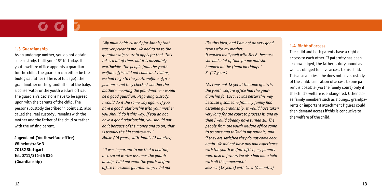#### **1.3 Guardianship**

As an underage mother, you do not obtain sole custody. Until your  $18<sup>th</sup>$  birthday, the youth welfare office appoints a guardian for the child. The guardian can either be the biological father (if he is of full age), the grandmother or the grandfather of the baby, a conservator or the youth welfare office. The guardian's decisions have to be agreed upon with the parents of the child. The personal custody described in point 1.2, also called the , real custody', remains with the mother and the father of the child or rather with the raising parent.

#### **Jugendamt (Youth welfare office) Wilhelmstraße 3 70182 Stuttgart Tel. 0711/216-55 826 (Guardianship)**

*"My mum holds custody for Jannis; that was very clear to me. We had to go to the guardianship court to apply for that. This takes a bit of time, but it is absolutely worthwhile. The people from the youth welfare office did not come and visit us, we had to go to the youth welfare office just once and they checked whether the mother - meaning the grandmother - would be a good guardian. Regarding custody, I would do it the same way again. If you have a good relationship with your mother, you should do it this way. If you do not have a good relationship, you should not do it because of the money and so on, that is usually the big controversy." Maike (16 years) with Jannis (7 months)*

*"It was important to me that a neutral, nice social worker assumes the guardianship. I did not want the youth welfare office to assume guardianship; I did not*  *like this idea, and I am not on very good terms with my mother. It worked really well with Mrs B. because she had a lot of time for me and she handled all the financial things." K. (17 years)* 

*"As I was not 18 yet at the time of birth, the youth welfare office had the guardianship for Luca. It was better this way because if someone from my family had assumed guardianship, it would have taken very long for the court to process it, and by then I would already have turned 18. The people from the youth welfare office came to us once and talked to my parents, and if they are satisfied they do not come back again. We did not have any bad experience with the youth welfare office, my parents were also in favour. We also had more help with all the paperwork." Jessica (18 years) with Luca (6 months)*

#### **1.4 Right of access**

The child and both parents have a right of access to each other. If paternity has been acknowledged, the father is duty bound as well as obliged to have access to his child. This also applies if he does not have custody of the child. Limitation of access to one parent is possible (via the family court) only if the child's welfare is endangered. Other close family members such as siblings, grandparents or important attachment figures could then demand access if this is conducive to the welfare of the child.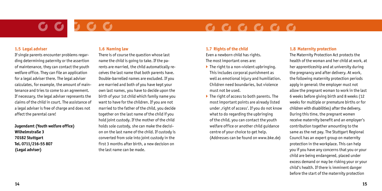## $\begin{array}{cccccccccccccc} \textbf{C} & \textbf{C} & \textbf{C} & \textbf{C} & \textbf{C} & \textbf{C} & \textbf{C} & \textbf{C} & \textbf{A} & \textbf{A} & \textbf{B} & \textbf{B} & \textbf{B} & \textbf{B} & \textbf{B} & \textbf{B} & \textbf{B} & \textbf{B} & \textbf{B} & \textbf{B} & \textbf{B} & \textbf{B} & \textbf{B} & \textbf{B} & \textbf{B} & \textbf{B} & \textbf{B} & \textbf{B} & \textbf{B} & \textbf{B} &$

#### **1.5 Legal adviser**

If single parents encounter problems regarding determining paternity or the assertion of maintenance, they can contact the youth welfare office. They can file an application for a legal adviser there. The legal adviser calculates, for example, the amount of maintenance and tries to come to an agreement. If necessary, the legal adviser represents the claims of the child in court. The assistance of a legal adviser is free of charge and does not affect the parental care!

**Jugendamt (Youth welfare office) Wilhelmstraße 3 70182 Stuttgart Tel. 0711/216-55 807 (Legal adviser)**

### **1.6 Naming law**

There is of course the question whose last name the child is going to take. If the parents are married, the child automatically receives the last name that both parents have. Double-barrelled names are excluded. If you are married and both of you have kept your own last names, you have to decide upon the birth of your 1st child which family name you want to have for the children. If you are not married to the father of the child, you decide together on the last name of the child if you hold joint custody. If the mother of the child holds sole custody, she can make the decision on the last name of the child. If custody is converted from sole into joint custody in the first 3 months after birth, a new decision on the last name can be made.

#### **1.7 Rights of the child**

Even a newborn child has rights. The most important ones are:

- $\blacktriangleright$  The right to a non-violent upbringing. This includes corporal punishment as well as emotional injury and humiliation. Children need boundaries, but violence must not be used.
- $\blacktriangleright$  The right of access to both parents. The most important points are already listed under, right of access'. If you do not know what to do regarding the upbringing of the child, you can contact the youth welfare office or another child guidance centre of your choice to get help. (Addresses can be found on www.bke.de)

#### **1.8 Maternity protection**

The Maternity Protection Act protects the health of the woman and her child at work, at her apprenticeship and at university during the pregnancy and after delivery. At work, the following maternity protection periods apply in general: the employer must not allow the pregnant woman to work in the last 6 weeks before giving birth and 8 weeks (12 weeks for multiple or premature births or for children with disabilities) after the delivery. During this time, the pregnant women receive maternity benefit and an employer's contribution together amounting to the same as the net pay. The Stuttgart Regional Council has an expert group on maternity protection in the workplace. This can help you if you have any concerns that you or your child are being endangered, placed under excess demand or may be risking your or your child's health. If there is imminent danger before the start of the maternity protection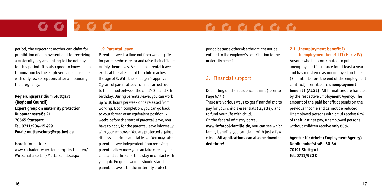## $\begin{array}{cccccccccccccc} \mathbf{C} & \mathbf{C} & \mathbf{C} & \mathbf{C} & \mathbf{C} & \mathbf{C} & \mathbf{C} & \mathbf{C} & \mathbf{A} & \mathbf{A} & \mathbf{A} & \mathbf{A} & \mathbf{A} & \mathbf{A} & \mathbf{A} & \mathbf{A} & \mathbf{A} & \mathbf{A} & \mathbf{A} & \mathbf{A} & \mathbf{A} & \mathbf{A} & \mathbf{A} & \mathbf{A} & \mathbf{A} & \mathbf{A} & \mathbf{A} & \mathbf{A} & \mathbf{A} & \mathbf{A} &$

period, the expectant mother can claim for prohibition of employment and for receiving a maternity pay amounting to the net pay for this period. It is also good to know that a termination by the employer is inadmissible with only few exceptions after announcing the pregnancy.

**Regierungspräsidium Stuttgart (Regional Council) Expert group on maternity protection Ruppmannstraße 21 70565 Stuttgart Tel. 0711/904-15 499 Email: mutterschutz@rps.bwl.de**

More information:

www.rp.baden-wuerttemberg.de/Themen/ Wirtschaft/Seiten/Mutterschutz.aspx

#### **1.9 Parental leave**

Parental leave is a time out from working life for parents who care for and raise their children mainly themselves. A claim to parental leave exists at the latest until the child reaches the age of 3. With the employer's approval, 2 years of parental leave can be carried over to the period between the child's 3rd and 8th birthday. During parental leave, you can work up to 30 hours per week or be released from working. Upon completion, you can go back to your former or an equivalent position. 7 weeks before the start of parental leave, you have to apply for the parental leave informally with your employer. You are protected against dismissal during parental leave! You may take parental leave independent from receiving parental allowance; you can take care of your child and at the same time stay in contact with your job. Pregnant women should start their parental leave after the maternity protection

period because otherwise they might not be entitled to the employer's contribution to the maternity benefit.

### 2. Financial support

Depending on the residence permit (refer to Page 6/7!)

There are various ways to get financial aid to pay for your child's essentials (layette), and to fund your life with child.

On the federal ministry portal

**www.infotool-familie.de,** you can see which family benefits you can claim with just a few clicks. **All applications can also be downloaded there!**

#### **2.1 Unemployment benefit I/ Unemployment benefit II (Hartz IV)**

Anyone who has contributed to public unemployment insurance for at least a year and has registered as unemployed on time (3 months before the end of the employment contract) is entitled to **unemployment benefit I (ALG I)**. All formalities are handled by the respective Employment Agency. The amount of the paid benefit depends on the previous income and cannot be reduced. Unemployed persons with child receive 67% of their last net pay, unemployed persons without children receive only 60%.

#### **Agentur für Arbeit (Employment Agency) Nordbahnhofstraße 30-34 70191 Stuttgart Tel. 0711/920 0**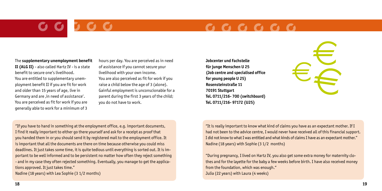## $G G G G G G G$

The **supplementary unemployment benefit II (ALG II)** - also called Hartz IV - is a state benefit to secure one's livelihood. You are entitled to supplementary unemployment benefit II if you are fit for work and older than 15 years of age, live in Germany and are , in need of assistance'. You are perceived as fit for work if you are generally able to work for a minimum of 3

hours per day. You are perceived as in need of assistance if you cannot secure your livelihood with your own income. You are also perceived as fit for work if you raise a child below the age of 3 (alone). Gainful employment is unconscionable for a parent during the first 3 years of the child; you do not have to work.

**Jobcenter und Fachstelle für junge Menschen U 25 (Job centre and specialised office for young people U 25) Rosensteinstraße 11 70191 Stuttgart Tel. 0711/216- 700 (switchboard) Tel. 0711/216- 97172 (U25)**

"If you have to hand in something at the employment office, e.g. important documents, I find it really important to either go there yourself and ask for a receipt as proof that you handed them in or you should send it by registered mail to the employment office. It is important that all the documents are there on time because otherwise you could miss deadlines. It just takes some time, it is quite tedious until everything is sorted out. It is important to be well informed and to be persistent no matter how often they reject something - and in my case they often rejected something. Eventually, you manage to get the applications approved. It just takes time."

Nadine (18 years) with Lea Sophie (3 1/2 months)

"It is really important to know what kind of claims you have as an expectant mother. If I had not been to the advice centre, I would never have received all of this financial support. I did not know to what I was entitled and what kinds of claims I have as an expectant mother." Nadine (18 years) with Sophie (3 1/2 months)

 $\geq$   $\geq$ 

"During pregnancy, I lived on Hartz IV, you also get some extra money for maternity clothes and for the layette for the baby a few weeks before birth. I have also received money from the foundation, which was enough." Julia (22 years) with Laura (4 weeks)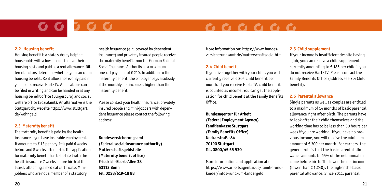## 

#### **2.2 Housing benefit**

Housing benefit is a state subsidy helping households with a low income to bear their housing costs and paid as a rent allowance. Different factors determine whether you can claim housing benefit. Rent allowance is only paid if you do not receive Hartz IV. Applications can be filed in writing and can be handed in at any housing benefit office (Bürgerbüro) and social welfare office (Sozialamt). An alternative is the Stuttgart city website https://www.stuttgart. de/wohngeld

#### **2.3 Maternity benefit**

The maternity benefit is paid by the health insurance if you have insurable employment. It amounts to  $\epsilon$  13 per day. It is paid 6 weeks before and 8 weeks after birth. The application for maternity benefit has to be filed with the health insurance 7 weeks before birth at the latest, attaching a medical certificate. Minijobbers who are not a member of a statutory

health insurance (e.g. covered by dependent insurance) and privately insured people receive the maternity benefit from the German Federal Social Insurance Authority as a maximum one-off payment of € 210. In addition to the maternity benefit, the employer pays a subsidy if the monthly net income is higher than the maternity benefit.

Please contact your health insurance; privately insured people and mini-jobbers with dependent insurance please contact the following address:

**Bundesversicherungsamt (Federal social insurance authority) Mutterschaftsgeldstelle (Maternity benefit office) Friedrich-Ebert-Allee 38 53113 Bonn Tel. 0228/619-18 88** 

More information on: https://www.bundesversicherungsamt.de/mutterschaftsgeld.html

#### **2.4 Child benefit**

If you live together with your child, you will currently receive € 204 child benefit per month. If you receive Hartz IV, child benefit is counted as income. You can get the application for child benefit at the Family Benefits Office.

**Bundesagentur für Arbeit (Federal Employment Agency) Familienkasse Stuttgart (Family Benefits Office) Neckarstraße 84 70190 Stuttgart Tel. 0800/45 55 530**

More information and application at: https://www.arbeitsagentur.de/familie-undkinder/infos-rund-um-kindergeld

#### **2.5 Child supplement**

If your income is insufficient despite having a job, you can receive a child supplement currently amounting to  $\epsilon$  185 per child if you do not receive Hartz IV. Please contact the Family Benefits Office (address see 2.4 Child benefit).

#### **2.6 Parental allowance**

Single parents as well as couples are entitled to a maximum of 14 months of basic parental allowance right after birth. The parents have to look after their child themselves and the working time has to be less than 30 hours per week if you are working. If you have no previous income, you will receive the minimum amount of € 300 per month. For earners, the general rule is that the basic parental allowance amounts to 65% of the net annual income before birth. The lower the net income (lower than  $\epsilon$  1,240), the higher the basic parental allowance. Since 2011, parental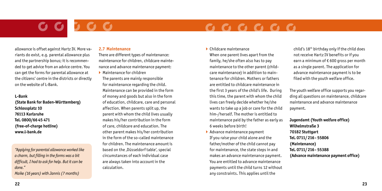## $\begin{array}{ccc} \textbf{C} & \textbf{C} & \textbf{C} & \textbf{C} & \textbf{C} & \textbf{C} \end{array}$

allowance is offset against Hartz IV. More variants do exist, e.g. parental allowance plus and the partnership bonus; it is recommended to get advice from an advice centre. You can get the forms for parental allowance at the citizens' centre in the districts or directly on the website of L-Bank.

#### **L-Bank**

**(State Bank for Baden-Württemberg) Schlossplatz 10 76113 Karlsruhe Tel. 0800/66 45 471 (free-of-charge hotline) www.l-bank.de**

*"Applying for parental allowance worked like a charm, but filling in the forms was a bit difficult, I had to ask for help. But it can be done." Maike (16 years) with Jannis (7 months)*

#### **2.7 Maintenance**

There are different types of maintenance: maintenance for children, childcare maintenance and advance maintenance payment:

- $\blacktriangleright$  Maintenance for children
- The parents are mainly responsible for maintenance regarding the child. Maintenance can be provided in the form of money and goods but also in the form of education, childcare, care and personal affection. When parents split up, the parent with whom the child lives usually makes his/her contribution in the form of care, childcare and education. The other parent makes his/her contribution in the form of the so-called maintenance for children. The maintenance amount is based on the , Düsseldorf table', special circumstances of each individual case are always taken into account in the calculation.

 $\blacktriangleright$  Childcare maintenance

When one parent lives apart from the family, he/she often also has to pay maintenance to the other parent (childcare maintenance) in addition to maintenance for children. Mothers or fathers are entitled to childcare maintenance in the first 3 years of the child's life. During this time, the parent with whom the child lives can freely decide whether he/she wants to take up a job or care for the child him-/herself. The mother is entitled to maintenance paid by the father as early as 6 weeks before birth!

 $\blacktriangleright$  Advance maintenance payment If you raise your child alone and the father/mother of the child cannot pay for maintenance, the state steps in and makes an advance maintenance payment. You are entitled to advance maintenance payments until the child turns 12 without any constraints. This applies until the

child's 18th birthday only if the child does not receive Hartz IV benefits or if you earn a minimum of  $\epsilon$  600 gross per month as a single parent. The application for advance maintenance payment is to be filed with the youth welfare office.

The youth welfare office supports you regarding all questions on maintenance, childcare maintenance and advance maintenance payment.

**Jugendamt (Youth welfare office) Wilhelmstraße 3 70182 Stuttgart Tel. 0711/216- 55806 (Maintenance) Tel. 0711/216- 55388 (Advance maintenance payment office)**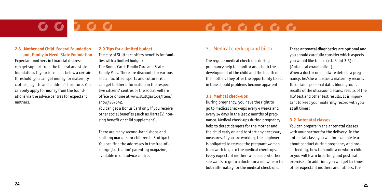## $G G G G G G G$

#### **2.8 'Mother and Child' Federal Foundation and 'Family in Need' State Foundation**

Expectant mothers in financial distress can get support from the federal and state foundation. If your income is below a certain threshold, you can get money for maternity clothes, layette and children's furniture. You can only apply for money from the foundations via the advice centres for expectant mothers.

### **2.9 Tips for a limited budget**

The city of Stuttgart offers benefits for families with a limited budget: The Bonus Card, Family Card and State Family Pass. There are discounts for various social facilities, sports and culture. You can get further information in the respective citizens' centres or the social welfare office or online at www.stuttgart.de/item/ show/287642.

You can get a Bonus Card only if you receive other social benefits (such as Hartz IV, housing benefit or child supplement).

There are many second-hand shops and clothing markets for children in Stuttgart. You can find the addresses in the free-ofcharge , Luftballon' parenting magazine, available in our advice centre.

### 3. Medical check-up and birth

The regular medical check-ups during pregnancy help to monitor and check the development of the child and the health of the mother. They offer the opportunity to act in time should problems become apparent

#### **3.1 Medical check-ups**

During pregnancy, you have the right to go to medical check-ups every 4 weeks and every 14 days in the last 2 months of pregnancy. Medical check-ups during pregnancy help to detect dangers for the mother and the child early on and to start any necessary measures. If you are working, the employer is obligated to release the pregnant woman from work to go to the medical check-ups. Every expectant mother can decide whether she wants to go to a doctor or a midwife or to both alternately for the medical check-ups.

These antenatal diagnostics are optional and you should carefully consider which aspects you would like to use (c.f. Point 3.3): (Antenatal examination).

When a doctor or a midwife detects a pregnancy, he/she will issue a maternity record. It contains personal data, blood group, results of the ultrasound scans, results of the HIV test and other test results. It is important to keep your maternity record with you at all times!

#### **3.2 Antenatal classes**

You can prepare in the antenatal classes with your partner for the delivery. In the antenatal class, you will for example learn about conduct during pregnancy and breastfeeding, how to handle a newborn child or you will learn breathing and postural exercises. In addition, you will get to know other expectant mothers and fathers. It is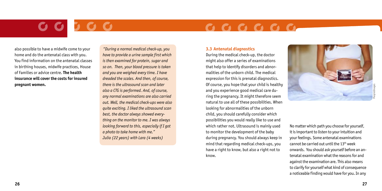## $\begin{array}{ccc} \textbf{C} & \textbf{C} & \textbf{C} & \textbf{C} & \textbf{C} & \textbf{C} \end{array}$

also possible to have a midwife come to your home and do the antenatal class with you. You find information on the antenatal classes in birthing houses, midwife practices, House of Families or advice centre. **The health insurance will cover the costs for insured pregnant women.**

*"During a normal medical check-up, you have to provide a urine sample first which is then examined for protein, sugar and so on. Then, your blood pressure is taken and you are weighed every time. I have dreaded the scales. And then, of course, there is the ultrasound scan and later also a CTG is performed. And, of course, any normal examinations are also carried out. Well, the medical check-ups were also quite exciting. I liked the ultrasound scan best, the doctor always showed everything on the monitor to me. I was always looking forward to this, especially if I got a photo to take home with me." Julia (22 years) with Lara (4 weeks)*

#### **3.3 Antenatal diagnostics**

During the medical check-up, the doctor might also offer a series of examinations that help to identify disorders and abnormalities of the unborn child. The medical expression for this is prenatal diagnostics. Of course, you hope that your child is healthy and you experience good medical care during the pregnancy. It might therefore seem natural to use all of these possibilities. When looking for abnormalities of the unborn child, you should carefully consider which possibilities you would really like to use and which rather not. Ultrasound is mainly used to monitor the development of the baby during pregnancy. You should always keep in mind that regarding medical check-ups, you have a right to know, but also a right not to know.



No matter which path you choose for yourself, it is important to listen to your intuition and your feelings. Some antenatal examinations cannot be carried out until the 13<sup>th</sup> week onwards. You should ask yourself before an antenatal examination what the reasons for and against the examination are. This also means to clarify for yourself what kind of consequence a noticeable finding would have for you. In any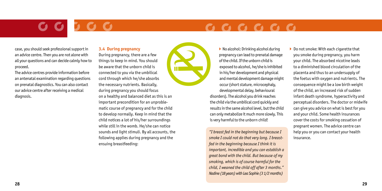## $G G G G G G G$

case, you should seek professional support in an advice centre. Then you are not alone with all your questions and can decide calmly how to proceed.

The advice centres provide information before an antenatal examination regarding questions on prenatal diagnostics. You can also contact our advice centre after receiving a medical diagnosis.

### **3.4 During pregnancy**

During pregnancy, there are a few things to keep in mind. You should be aware that the unborn child is connected to you via the umbilical cord through which he/she absorbs the necessary nutrients. Basically, during pregnancy you should focus on a healthy and balanced diet as this is an important precondition for an unproblematic course of pregnancy and for the child to develop normally. Keep in mind that the child notices a lot of his/her surroundings while still in the womb. He/she can notice sounds and light stimuli. By all accounts, the following applies during pregnancy and the ensuing breastfeeding:



▶ No alcohol: Drinking alcohol during pregnancy can lead to prenatal damage of the child. If the unborn child is exposed to alcohol, he/she is inhibited in his/her development and physical and mental development damage might occur (short stature, microcephaly, developmental delay, behavioural disorders). The alcohol you drink reaches the child via the umbilical cord quickly and results in the same alcohol level, but the child can only metabolize it much more slowly. This is very harmful to the unborn child!

*"I breast fed in the beginning but because I smoke I could not do that very long. I breastfed in the beginning because I think it is important, incredible and you can establish a great bond with the child. But because of my smoking, which is of course harmful for the child, I weaned the child off after 3 months." Nadine (18 years) with Lea Sophie (3 1/2 months)*

▶ Do not smoke: With each cigarette that you smoke during pregnancy, you harm your child. The absorbed nicotine leads to a diminished blood circulation of the placenta and thus to an undersupply of the foetus with oxygen and nutrients. The consequence might be a low birth weight of the child, an increased risk of sudden infant death syndrome, hyperactivity and perceptual disorders. The doctor or midwife can give you advice on what is best for you and your child. Some health insurances cover the costs for smoking cessation of pregnant women. The advice centre can help you or you can contact your health insurance.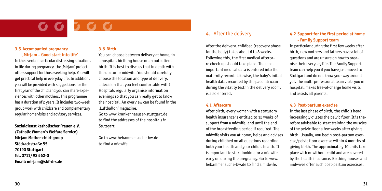#### **3.5 Accompanied pregnancy 'Mirjam – Good start into life'**

In the event of particular distressing situations in life during pregnancy, the ,Miriam' project offers support for those seeking help. You will get practical help in everyday life. In addition, you will be provided with suggestions for the first year of the child and you can share experiences with other mothers. This programme has a duration of 2 years. It includes two-week group work with childcare and complementary regular home visits and advisory services.

**Sozialdienst katholischer Frauen e.V. (Catholic Women's Welfare Service) Mirjam Mother-child-group Stöckachstraße 55 70190 Stuttgart Tel. 0711/92 562-0 Email: mirjam@skf-drs.de**

### **3.6 Birth**

You can choose between delivery at home, in a hospital, birthing house or an outpatient birth. It is best to discuss that in depth with the doctor or midwife. You should carefully choose the location and type of delivery, a decision that you feel comfortable with! Hospitals regularly organise information evenings so that you can really get to know the hospital. An overview can be found in the 'Luftballon' magazine.

Go to www.krankenhaeuser-stuttgart.de to find the addresses of the hospitals in Stuttgart.

Go to www.hebammensuche-bw.de to find a midwife.

### 4. After the delivery

After the delivery, childbed (recovery phase for the body) takes about 6 to 8 weeks. Following this, the first medical aftercare check-up should take place. The most important medical data is entered into the maternity record. Likewise, the baby's initial health data, recorded by the paediatrician during the vitality test in the delivery room, is also entered.

#### **4.1 Aftercare**

After birth, every woman with a statutory health insurance is entitled to 12 weeks of support from a midwife, and until the end of the breastfeeding period if required. The midwife visits you at home, helps and advises during childbed on all questions regarding both your health and your child's health. It is important to start looking for a midwife early on during the pregnancy. Go to www. hebammensuche-bw.de to find a midwife.

#### **4.2 Support for the first period at home - Family Support team**

In particular during the first few weeks after birth, new mothers and fathers have a lot of questions and are unsure on how to organise their everyday life. The Family Support team can help you if you have just moved to Stuttgart and do not know your way around yet. The multi-professional team visits you in hospital, makes free-of-charge home visits and assists all parents.

#### **4.3 Post-partum exercise**

In the last phase of birth, the child's head increasingly dilates the pelvic floor. It is therefore advisable to start training the muscles of the pelvic floor a few weeks after giving birth. Usually, you begin post-partum exercise/pelvic floor exercise within 4 months of giving birth. The approximately 10 units take place with or without child and are covered by the health insurance. Birthing houses and midwives offer such post-partum exercises.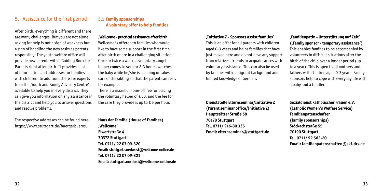### 5. Assistance for the first period

After birth, everything is different and there are many challenges. But you are not alone, asking for help is not a sign of weakness but a sign of handling the new tasks as parents responsibly! The youth welfare office will provide new parents with a Guiding Book for Parents right after birth. It provides a lot of information and addresses for families with children. In addition, there are experts from the .Youth and Family Advisory Centre' available to help you in every district. They can give you information on any assistance in the district and help you to answer questions and resolve problems.

#### **5.1 Family sponsorships A voluntary offer to help families**

**'Wellcome - practical assistance after birth'**

Wellcome is offered to families who would like to have some support in the first time after birth or are in a challenging situation. Once or twice a week, a voluntary, angel' helper comes to you for 2-3 hours, watches the baby while he/she is sleeping or takes care of the sibling so that the parent can rest, for example.

There is a maximum one-off fee for placing the voluntary helper of € 10, and the fee for the care they provide is up to  $\epsilon$  5 per hour.

The respective addresses can be found here: https://www.stuttgart.de/buergerbueros.

### **Haus der Familie (House of Families) 'Wellcome' Elwertstraße 4 70372 Stuttgart Tel. 0711/ 22 07 09-320 Email: stuttgart.suedwest@wellcome-online.de Tel. 0711/ 22 07 09-321 Email: stuttgart.nordost@wellcome-online.de**

#### **'Initiative Z - Sponsors assist families'**

This is an offer for all parents with children aged 0-3 years and helps families that have just moved here and do not have any support from relatives, friends or acquaintances with voluntary assistance. This can also be used by families with a migrant background and limited knowledge of German.

**Dienststelle Elternseminar/Initiative Z (Parent seminar office/Initiative Z) Hauptstätter Straße 68 70178 Stuttgart Tel. 0711/ 216-80 335 Email: elternseminar@stuttgart.de**

**'Familienpatin - Unterstützung auf Zeit' ('Family sponsor - temporary assistance')** This enables families to be accompanied by volunteers in difficult situations after the birth of the child over a longer period (up to a year). This is open to all mothers and fathers with children aged 0-3 years. Family sponsors help to cope with everyday life with a baby and a toddler.

**Sozialdienst katholischer Frauen e.V. (Catholic Women's Welfare Service) Familienpatenschaften (family sponsorships) Stöckachstraße 55 70190 Stuttgart Tel. 0711/ 92 562-20 Email: familienpatenschaften@skf-drs.de**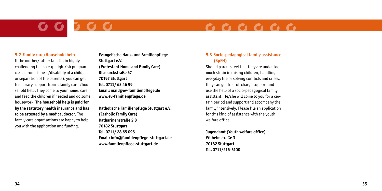# **3 0 0**

## $\begin{array}{cccccccccccccc} \mathbf{C} & \mathbf{C} & \mathbf{C} & \mathbf{C} & \mathbf{C} & \mathbf{C} & \mathbf{C} & \mathbf{C} & \mathbf{A} & \mathbf{A} & \mathbf{A} & \mathbf{A} & \mathbf{A} & \mathbf{A} & \mathbf{A} & \mathbf{A} & \mathbf{A} & \mathbf{A} & \mathbf{A} & \mathbf{A} & \mathbf{A} & \mathbf{A} & \mathbf{A} & \mathbf{A} & \mathbf{A} & \mathbf{A} & \mathbf{A} & \mathbf{A} & \mathbf{A} & \mathbf{A} &$

#### **5.2 Family care/Household help**

If the mother/father falls ill, in highly challenging times (e.g. high-risk pregnancies, chronic illness/disability of a child, or separation of the parents), you can get temporary support from a family carer/household help. They come to your home, care and feed the children if needed and do some housework. **The household help is paid for by the statutory health insurance and has to be attested by a medical doctor.** The family care organisations are happy to help you with the application and funding.

**Evangelische Haus- und Familienpflege Stuttgart e.V. (Protestant Home and Family Care) Bismarckstraße 57 70197 Stuttgart Tel. 0711/ 63 46 99 Email: mail@ev-familienpflege.de www.ev-familienpflege.de**

**Katholische Familienpflege Stuttgart e.V. (Catholic Family Care) Katharinenstraße 2 B 70182 Stuttgart Tel. 0711/ 28 65 095 Email: info@familienpflege-stuttgart.de www.familienpflege-stuttgart.de**

### **5.3 Socio-pedagogical family assistance (SpFH)**

Should parents feel that they are under too much strain in raising children, handling everyday life or solving conflicts and crises, they can get free-of-charge support and use the help of a socio-pedagogical family assistant. He/she will come to you for a certain period and support and accompany the family intensively. Please file an application for this kind of assistance with the youth welfare office.

**Jugendamt (Youth welfare office) Wilhelmstraße 3 70182 Stuttgart Tel. 0711/216-5100**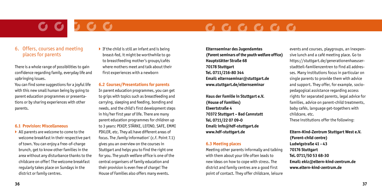## $\bullet \bullet \bullet \bullet \bullet \bullet \bullet$

### 6. Offers, courses and meeting places for parents

There is a whole range of possibilities to gain confidence regarding family, everyday life and upbringing issues.

You can find some suggestions for a joyful life with this new small human being by going to parent education programmes or presentations or by sharing experiences with other parents.

#### **6.1 Provision: Miscellaneous**

▶ All parents are welcome to come to the welcome breakfast in their respective part of town. You can enjoy a free-of-charge brunch, get to know other families in the area without any disturbance thanks to the childcare on offer! The welcome breakfast regularly takes place on Sundays in the district or family centres.

 $\blacktriangleright$  If the child is still an infant and is being breast-fed, it might be worthwhile to go to breastfeeding mother's groups/cafés where mothers meet and talk about their first experiences with a newborn

#### **6.2 Courses/Presentations for parents**

In parent education programmes, you can get to grips with topics such as breastfeeding and carrying, sleeping and feeding, bonding and needs, and the child's first development steps in his/her first year of life. There are many parent education programmes for children up to 3 years: PEKIP, STÄRKE, LEFINO, SAFE, EMMI PIKLER, etc. They all have different areas of focus. The , family information' (c.f. Point 7.1) gives you an overview on the courses in Stuttgart and helps you to find the right one for you. The youth welfare office is one of the central organisers of family education and their provision is even free of charge! The House of Families also offers many events.

**Elternseminar des Jugendamtes (Parent seminars of the youth welfare office) Hauptstätter Straße 68 70178 Stuttgart Tel. 0711/216-80 344 Email: elternseminar@stuttgart.de www.stuttgart.de/elternseminar**

**Haus der Familie in Stuttgart e.V. (House of Families) Elwertstraße 4 70372 Stuttgart – Bad Cannstatt Tel. 0711/22 07 09-0 Email: info@hdf-stuttgart.de www.hdf-stuttgart.de**

#### **6.3 Meeting places**

Meeting other parents informally and talking with them about your life often leads to new ideas on how to cope with stress. The district and family centres are a good first point of contact. They offer childcare, leisure events and courses, playgroups, an inexpensive lunch and a café meeting place. Go to https://stuttgart.de/generationenhaeuserstadtteil-familienzentren to find all addresses. Many institutions focus in particular on single parents to provide them with advice and support. They offer, for example, sociopedagogical assistance regarding access rights for separated parents, legal advice for families, advice on parent-child treatments, baby cafés, language get-togethers with childcare, etc.

These institutions offer the following:

### **Eltern-Kind-Zentrum Stuttgart West e.V. (Parent-child centre) Ludwigstraße 41 - 43 70176 Stuttgart Tel. 0711/50 53 68-30 Email: ekiz@eltern-kind-zentrum.de www.eltern-kind-zentrum.de**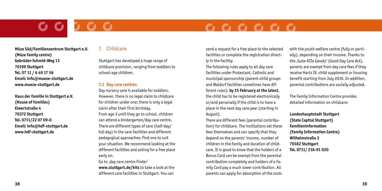## $\begin{array}{cccccccccccccc} \textbf{C} & \textbf{C} & \textbf{C} & \textbf{C} & \textbf{C} & \textbf{C} & \textbf{C} & \textbf{C} & \textbf{A} & \textbf{A} & \textbf{A} & \textbf{A} & \textbf{A} & \textbf{A} & \textbf{A} & \textbf{A} & \textbf{A} & \textbf{A} & \textbf{A} & \textbf{A} & \textbf{A} & \textbf{A} & \textbf{A} & \textbf{A} & \textbf{A} & \textbf{A} & \textbf{A} & \textbf{A} & \textbf{A} & \textbf{A} &$

**Müze Süd/Familienzentrum Stuttgart e.V. (Müze family centre) Gebrüder-Schmid-Weg 13 70199 Stuttgart Tel. 07 11 / 6 49 17 56 Email: info@mueze-stuttgart.de www.mueze-stuttgart.de**

**Haus der Familie in Stuttgart e.V. (House of Families) Elwertstraße 4 70372 Stuttgart Tel. 0711/22 07 09-0 Email: info@hdf-stuttgart.de www.hdf-stuttgart.de**

### 7. Childcare

Stuttgart has developed a huge range of childcare provision, ranging from toddlers to school-age children.

#### **7.1 Day care centres**

Day nursery care is available for toddlers. However, there is no legal claim to childcare for children under one; there is only a legal claim after their first birthday. From age 3 until they go to school, children can attend a kindergarten/day care centre. There are different types of care (half-day/ full day) in the care facilities and different pedagogical approaches; find one to suit your situation. We recommend looking at the different facilities and asking for a free place early on.

Go to , day care centre finder' **www.stuttgart.de/kits** to take a look at the different care facilities in Stuttgart. You can

send a request for a free place to the selected facilities or complete the registration directly in the facility.

The following rules apply to all day care facilities under Protestant, Catholic and municipal sponsorship (parent-child groups and Waldorf facilities sometimes have different rules): **by 15 February at the latest**, the child has to be registered electronically

or/and personally if the child is to have a place in the next day care year (starting in August).

There are different fees (parental contribution) for childcare. The institutions set these fees themselves and can specify that they depend on the parents' income, number of children in the family and duration of childcare. It is good to know that the holders of a Bonus Card can be exempt from the parental contribution completely and holders of a Family Card pay a much lower contribution. All parents can apply for absorption of the costs with the youth welfare centre (fully or partially), depending on their income. Thanks to the , Gute-KITa Gesetz' (Good Day Care Act), parents are exempt from day care fees if they receive Hartz IV, child supplement or housing benefit starting from July 2019. In addition, parental contributions are socially adjusted.

The Family Information Centre provides detailed information on childcare:

**Landeshauptstadt Stuttgart (State Capital Stuttgart) Familieninformation (Family Information Centre) Wilhelmstraße 3 70182 Stuttgart Tel. 0711/ 216-91 020**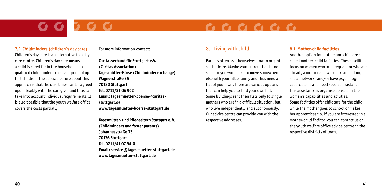## $\begin{array}{cccccccccccccc} \mathbf{C} & \mathbf{C} & \mathbf{C} & \mathbf{C} & \mathbf{C} & \mathbf{C} & \mathbf{C} & \mathbf{C} & \mathbf{A} & \mathbf{A} & \mathbf{A} & \mathbf{A} & \mathbf{A} & \mathbf{A} & \mathbf{A} & \mathbf{A} & \mathbf{A} & \mathbf{A} & \mathbf{A} & \mathbf{A} & \mathbf{A} & \mathbf{A} & \mathbf{A} & \mathbf{A} & \mathbf{A} & \mathbf{A} & \mathbf{A} & \mathbf{A} & \mathbf{A} & \mathbf{A} &$

#### **7.2 Childminders (children's day care)**

Children's day care is an alternative to a day care centre. Children's day care means that a child is cared for in the household of a qualified childminder in a small group of up to 5 children. The special feature about this approach is that the care times can be agreed upon flexibly with the caregiver and thus can take into account individual requirements. It is also possible that the youth welfare office covers the costs partially.

#### For more information contact:

**Caritasverband für Stuttgart e.V. (Caritas Association) Tagesmütter-Börse (Childminder exchange) Wagnerstraße 35 70182 Stuttgart Tel. 0711/21 06 962 Email: tagesmuetter-boerse@caritasstuttgart.de www.tagesmuetter-boerse-stuttgart.de** 

**Tagesmütter- und Pflegeeltern Stuttgart e. V. (Childminders and foster parents) Johannesstraße 33 70176 Stuttgart Tel. 0711/41 07 94-0 Email: service@tagesmuetter-stuttgart.de www.tagesmuetter-stuttgart.de**

### 8. Living with child

Parents often ask themselves how to organise childcare. Maybe your current flat is too small or you would like to move somewhere else with your little family and thus need a flat of your own. There are various options that can help you to find your own flat. Some buildings rent their flats only to single mothers who are in a difficult situation, but who live independently and autonomously. Our advice centre can provide you with the respective addresses.

#### **8.1 Mother-child facilities**

Another option for mother and child are socalled mother-child facilities. These facilities focus on women who are pregnant or who are already a mother and who lack supporting social networks and/or have psychological problems and need special assistance. This assistance is organised based on the woman's capabilities and abilities. Some facilities offer childcare for the child while the mother goes to school or makes her apprenticeship. If you are interested in a mother-child facility, you can contact us or the youth welfare office advice centre in the respective districts of town.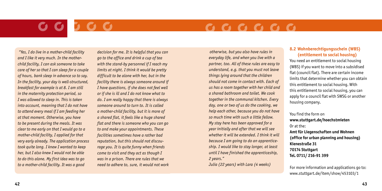## $G G G G G G G$

*"Yes, I do live in a mother-child facility and I like it very much. In the motherchild facility, I can ask someone to take care of her so that I can sleep for a couple of hours, bank sleep in advance so to say. In the facility, your day is well-structured, breakfast for example is at 8. I am still in the maternity protection period, so I was allowed to sleep in. This is taken into account, meaning that I do not have to attend every meal if I am feeding her at that moment. Otherwise, you have to be present during the meals. It was clear to me early on that I would go to a mother-child facility, I applied for that very early already. The application process took quite long. I knew I wanted to keep her, but I also knew I would not be able to do this alone. My first idea was to go to a mother-child facility. It was a good* 

*decision for me. It is helpful that you can go to the office and drink a cup of tea with the stand-by personnel if I reach my limits at night. I think it would be pretty difficult to be alone with her, but in the facility there is always someone around if I have questions, if she does not feel well or if she is ill and I do not know what to do. I am really happy that there is always someone around to turn to. It is called a mother-child facility, but it is more of a shared flat, it feels like a huge shared flat and there is someone who you can go to and make your appointments. These facilities sometimes have a rather bad reputation, but this should not discourage you. It is quite funny when friends come to visit and they act as though I was in a prison. There are rules that we need to adhere to, sure, it would not work* 

*otherwise, but you also have rules in everyday life, and when you live with a partner, too. All of these rules are easy to understand, e.g. that you must not leave things lying around that the children should not come in contact with. Each of us has a room together with her child and a shared bathroom and toilet. We cook together in the communal kitchen. Every day, one or two of us do the cooking, we help each other, because you do not have so much time with such a little fellow. My stay here has been approved for a year initially and after that we will see whether it will be extended. I think it will because I am going to do an apprenticeship. I would like to stay longer, at least until I have finished the apprenticeship, 2 years."* 

*Julia (22 years) with Lara (4 weeks)*

#### **8.2 Wohnberechtigungsschein (WBS) (entitlement to social housing)**

You need an entitlement to social housing (WBS) if you want to move into a subsidised flat (council flat). There are certain income limits that determine whether you can obtain this entitlement to social housing. With this entitlement to social housing, you can apply for a council flat with SWSG or another housing company.

You find the form on **www.stuttgart.de/hoechstmieten**  Or at the: **Amt für Liegenschaften und Wohnen (office for urban planning and housing) Kienestraße 31 70174 Stuttgart Tel. 0711/ 216-91 399**

For more information and applications go to: www.stuttgart.de/item/show/453103/1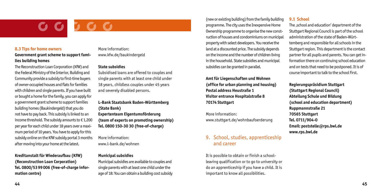#### **8.3 Tips for home owners**

**Government grant scheme to support families building homes**

The Reconstruction Loan Corporation (KfW) and the Federal Ministry of the Interior, Building and Community provide a subsidy to first-time buyers of owner-occupied houses and flats for families with children and single parents. If you have built or bought a home for the family, you can apply for a government grant scheme to support families building homes (Baukindergeld) that you do not have to pay back. This subsidy is linked to an income threshold. The subsidy amounts to  $\epsilon$  1,200 per year for each child under 18 years over a maximum period of 10 years. You have to apply for this subsidy online on the KfW subsidy portal 3 months after moving into your home at the latest.

**Kreditanstalt für Wiederaufbau (KfW) (Reconstruction Loan Corporation) Tel. 0800/5399006 (free-of-charge information centre)**

More information: www.kfw.de/baukindergeld

#### **State subsidies**

Subsidised loans are offered to couples and single parents with at least one child under 18 years, childless couples under 45 years and severely disabled persons.

#### **L-Bank Staatsbank Baden-Württemberg (State Bank)**

**Expertenteam Eigentumsförderung (team of experts on promoting ownership) Tel. 0800 150-30 30 (free-of-charge)**

More information: www.l-bank.de/wohnen

#### **Municipal subsidies**

Municipal subsidies are available to couples and single parents with at least one child under the age of 18: You can obtain a building cost subsidy

(new or existing building) from the family building programme. The city uses the Inexpensive Home Ownership programme to organise the new construction of houses and condominiums on municipal property with select developers. You receive the land at a discounted price. The subsidy depends on the income and the number of children living in the household. State subsidies and municipal subsidies can be granted in parallel.

**Amt für Liegenschaften und Wohnen (office for urban planning and housing) Postal address Heustraße 1 Visitor entrance Hospitalstraße 8 70174 Stuttgart**

More information: www.stuttgart.de/wohnbaufoerderung

### 9. School, studies, apprenticeship and career

It is possible to obtain or finish a schoolleaving qualification or to go to university or do an apprenticeship if you have a child. It is important to know all possibilities.

#### **9.1 School**

The *school and education'* department of the Stuttgart Regional Council is part of the school administration of the state of Baden-Württemberg and responsible for all schools in the Stuttgart region. This department is the contact partner for all pupils and parents. You can get information there on continuing school education and on tests that need to be postponed. It is of course important to talk to the school first.

**Regierungspräsidium Stuttgart (Stuttgart Regional Council) Abteilung Schule und Bildung (school and education department) Ruppmannstraße 21 70565 Stuttgart Tel. 0711/904-0 Email: poststelle@rps.bwl.de www.rps.bwl.de**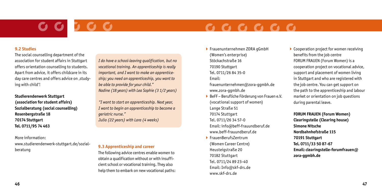# 566

## $\begin{array}{cccccccccccccc} \textbf{C} & \textbf{C} & \textbf{C} & \textbf{C} & \textbf{C} & \textbf{C} & \textbf{C} & \textbf{C} & \textbf{A} & \textbf{A} & \textbf{A} & \textbf{A} & \textbf{A} & \textbf{A} & \textbf{A} & \textbf{A} & \textbf{A} & \textbf{A} & \textbf{A} & \textbf{A} & \textbf{A} & \textbf{A} & \textbf{A} & \textbf{A} & \textbf{A} & \textbf{A} & \textbf{A} & \textbf{A} & \textbf{A} & \textbf{A} &$

#### **9.2 Studies**

The social counselling department of the association for student affairs in Stuttgart offers orientation counselling to students. Apart from advice, it offers childcare in its day care centres and offers advice on , studying with child'!

**Studierendenwerk Stuttgart (association for student affairs) Sozialberatung (social counselling) Rosenbergstraße 18 70174 Stuttgart Tel. 0711/95 74 463**

### More information: www.studierendenwerk-stuttgart.de/sozial-

*I do have a school-leaving qualification, but no vocational training. An apprenticeship is really important, and I want to make an apprenticeship; you need an apprenticeship, you want to be able to provide for your child." Nadine (18 years) with Lea Sophie (3 1/2 years)* 

*"I want to start an apprenticeship. Next year, I want to begin an apprenticeship to become a geriatric nurse." Julia (22 years) with Lara (4 weeks)*

### beratung **9.3 Apprenticeship and career**

The following advice centres enable women to obtain a qualification without or with insufficient school or vocational training. They also help them to embark on new vocational paths: ▶ Frauenunternehmen ZORA gGmbH (Women's enterprise) Stöckachstraße 16 70190 Stuttgart Tel. 0711/26 84 35-0 Email:

frauenunternehmen@zora-ggmbh.de www.zora-ggmbh.de

- ▶ BeFF Berufliche Förderung von Frauen e.V. (vocational support of women) Lange Straße 51 70174 Stuttgart Tel. 0711/26 34 57-0 Email: info@beff-frauundberuf.de www.beff-frauundberuf.de
- ` FrauenBerufsZentrum (Women Career Centre) Heusteigstraße 20 70182 Stuttgart Tel. 0711/24 89 23-40 Email: Info@skf-drs.de www.skf-drs.de

▶ Cooperation project for women receiving benefits from the job centre FORUM FRAUEN (Forum Women) is a cooperation project on vocational advice, support and placement of women living in Stuttgart and who are registered with the job centre. You can get support on the path to the apprenticeship and labour market or orientation on job questions during parental leave.

**FORUM FRAUEN (Forum Women) Clearingstelle (Clearing house) Simone Nitsche Nordbahnhofstraße 115 70191 Stuttgart Tel. 0711/33 50 87-67 Email: clearingstelle-forumfrauen@ zora-ggmbh.de**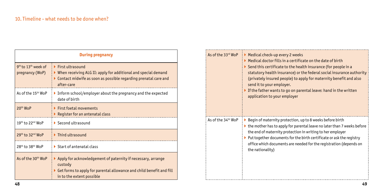| <b>During pregnancy</b>                                        |                                                                                                                                                                                                                                  |  |  |  |
|----------------------------------------------------------------|----------------------------------------------------------------------------------------------------------------------------------------------------------------------------------------------------------------------------------|--|--|--|
| 9 <sup>th</sup> to 13 <sup>th</sup> week of<br>pregnancy (WoP) | $\blacktriangleright$ First ultrasound<br>$\blacktriangleright$ When receiving ALG II: apply for additional and special demand<br>$\triangleright$ Contact midwife as soon as possible regarding prenatal care and<br>after-care |  |  |  |
| As of the $15th$ WoP                                           | Inform school/employer about the pregnancy and the expected<br>date of birth                                                                                                                                                     |  |  |  |
| 20 <sup>th</sup> WoP                                           | $\blacktriangleright$ First foetal movements<br>Register for an antenatal class                                                                                                                                                  |  |  |  |
| 19th to 22nd WoP                                               | $\triangleright$ Second ultrasound                                                                                                                                                                                               |  |  |  |
| 29th to 32 <sup>nd</sup> WoP                                   | $\blacktriangleright$ Third ultrasound                                                                                                                                                                                           |  |  |  |
| 28th to 38th WoP                                               | $\triangleright$ Start of antenatal class                                                                                                                                                                                        |  |  |  |
| As of the 30 <sup>th</sup> WoP                                 | $\blacktriangleright$ Apply for acknowledgement of paternity if necessary, arrange<br>custody<br>$\triangleright$ Get forms to apply for parental allowance and child benefit and fill<br>in to the extent possible              |  |  |  |

| As of the 33rd WoP             | Medical check-up every 2 weeks<br>$\blacktriangleright$ Medical doctor fills in a certificate on the date of birth<br>$\triangleright$ Send this certificate to the health insurance (for people in a<br>statutory health insurance) or the federal social insurance authority<br>(privately insured people) to apply for maternity benefit and also<br>send it to your employer.<br>$\blacktriangleright$ If the father wants to go on parental leave: hand in the written<br>application to your employer |
|--------------------------------|-------------------------------------------------------------------------------------------------------------------------------------------------------------------------------------------------------------------------------------------------------------------------------------------------------------------------------------------------------------------------------------------------------------------------------------------------------------------------------------------------------------|
| As of the 34 <sup>th</sup> WoP | ▶ Begin of maternity protection, up to 8 weeks before birth<br>$\triangleright$ the mother has to apply for parental leave no later than 7 weeks before<br>the end of maternity protection in writing to her employer<br>$\triangleright$ Put together documents for the birth certificate or ask the registry<br>office which documents are needed for the registration (depends on<br>the nationality)                                                                                                    |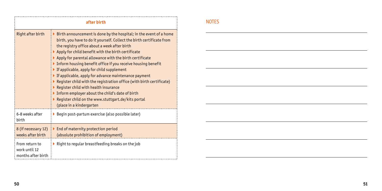| after birth                                           |                                                                                                                                                                                                                                                                                                                                                                                                                                                                                                                                                                                                                                                                                                                                                                                                                                                 |  |
|-------------------------------------------------------|-------------------------------------------------------------------------------------------------------------------------------------------------------------------------------------------------------------------------------------------------------------------------------------------------------------------------------------------------------------------------------------------------------------------------------------------------------------------------------------------------------------------------------------------------------------------------------------------------------------------------------------------------------------------------------------------------------------------------------------------------------------------------------------------------------------------------------------------------|--|
| Right after birth                                     | $\triangleright$ Birth announcement is done by the hospital; in the event of a home<br>birth, you have to do it yourself. Collect the birth certificate from<br>the registry office about a week after birth<br>$\blacktriangleright$ Apply for child benefit with the birth certificate<br>$\blacktriangleright$ Apply for parental allowance with the birth certificate<br>Inform housing benefit office if you receive housing benefit<br>$\blacktriangleright$ If applicable, apply for child supplement<br>$\blacktriangleright$ If applicable, apply for advance maintenance payment<br>Register child with the registration office (with birth certificate)<br>Register child with health insurance<br>Inform employer about the child's date of birth<br>Register child on the www.stuttgart.de/kits portal<br>(place in a kindergarten |  |
| 6-8 weeks after<br>birth                              | ▶ Begin post-partum exercise (also possible later)                                                                                                                                                                                                                                                                                                                                                                                                                                                                                                                                                                                                                                                                                                                                                                                              |  |
| 8 (if necessary 12)<br>weeks after birth              | $\blacktriangleright$ End of maternity protection period<br>(absolute prohibition of employment)                                                                                                                                                                                                                                                                                                                                                                                                                                                                                                                                                                                                                                                                                                                                                |  |
| From return to<br>work until 12<br>months after birth | $\blacktriangleright$ Right to regular breastfeeding breaks on the job                                                                                                                                                                                                                                                                                                                                                                                                                                                                                                                                                                                                                                                                                                                                                                          |  |

### NOTES